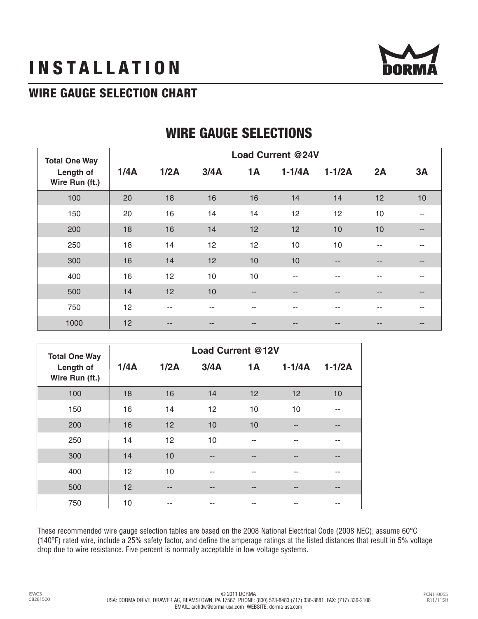# **INSTALLATION**



# **WIRE GAUGE SELECTION CHART**

| <b>Total One Way</b><br>Length of<br>Wire Run (ft.) | <b>Load Current @24V</b> |        |      |                          |            |                          |     |                          |  |  |
|-----------------------------------------------------|--------------------------|--------|------|--------------------------|------------|--------------------------|-----|--------------------------|--|--|
|                                                     | 1/4A                     | 1/2A   | 3/4A | <b>1A</b>                | $1-1/4A$   | $1-1/2A$                 | 2A  | 3A                       |  |  |
| 100                                                 | 20                       | 18     | 16   | 16                       | 14         | 14                       | 12  | 10                       |  |  |
| 150                                                 | 20                       | 16     | 14   | 14                       | 12         | 12                       | 10  |                          |  |  |
| 200                                                 | 18                       | 16     | 14   | 12                       | 12         | 10                       | 10  | $\overline{\phantom{a}}$ |  |  |
| 250                                                 | 18                       | 14     | 12   | 12                       | 10         | 10                       | $-$ | --                       |  |  |
| 300                                                 | 16                       | 14     | 12   | 10                       | 10         | $\overline{\phantom{a}}$ | --  | --                       |  |  |
| 400                                                 | 16                       | 12     | 10   | 10                       | $\sim$ $-$ | $\sim$                   | --  | --                       |  |  |
| 500                                                 | 14                       | 12     | 10   | $\overline{\phantom{a}}$ | $ -$       | $-$                      | --  | --                       |  |  |
| 750                                                 | 12                       | --     | --   | --                       | $ -$       | --                       | --  | $- -$                    |  |  |
| 1000                                                | 12                       | $\sim$ | --   | $\qquad \qquad -$        | $- -$      | $- -$                    | --  | $\qquad \qquad -$        |  |  |

# **WIRE GAUGE SELECTIONS**

| <b>Total One Way</b>        | <b>Load Current @12V</b> |      |      |           |          |          |  |  |  |  |
|-----------------------------|--------------------------|------|------|-----------|----------|----------|--|--|--|--|
| Length of<br>Wire Run (ft.) | 1/4A                     | 1/2A | 3/4A | <b>1A</b> | $1-1/4A$ | $1-1/2A$ |  |  |  |  |
| 100                         | 18                       | 16   | 14   | 12        | 12       | 10       |  |  |  |  |
| 150                         | 16                       | 14   | 12   | 10        | 10       |          |  |  |  |  |
| 200                         | 16                       | 12   | 10   | 10        | --       | --       |  |  |  |  |
| 250                         | 14                       | 12   | 10   | --        | --       |          |  |  |  |  |
| 300                         | 14                       | 10   | --   | --        |          |          |  |  |  |  |
| 400                         | 12                       | 10   | --   | --        | --       |          |  |  |  |  |
| 500                         | 12                       | --   | --   | --        |          |          |  |  |  |  |
| 750                         | 10                       | $-$  | --   | --        | --       | --       |  |  |  |  |

These recommended wire gauge selection tables are based on the 2008 National Electrical Code (2008 NEC), assume 60°C (140°F) rated wire, include a 25% safety factor, and define the amperage ratings at the listed distances that result in 5% voltage drop due to wire resistance. Five percent is normally acceptable in low voltage systems.